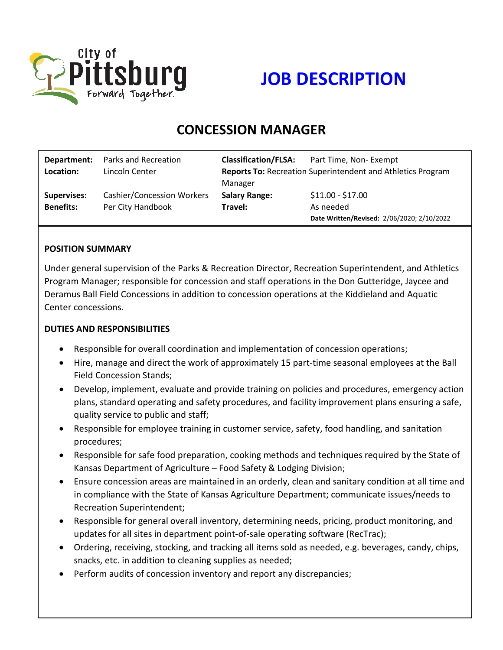

# **JOB DESCRIPTION**

# **CONCESSION MANAGER**

| Department:        | Parks and Recreation              | <b>Classification/FLSA:</b>                                        | Part Time, Non-Exempt                      |
|--------------------|-----------------------------------|--------------------------------------------------------------------|--------------------------------------------|
| Location:          | Lincoln Center                    | <b>Reports To: Recreation Superintendent and Athletics Program</b> |                                            |
|                    |                                   | Manager                                                            |                                            |
| <b>Supervises:</b> | <b>Cashier/Concession Workers</b> | <b>Salary Range:</b>                                               | $$11.00 - $17.00$                          |
| <b>Benefits:</b>   | Per City Handbook                 | Travel:                                                            | As needed                                  |
|                    |                                   |                                                                    | Date Written/Revised: 2/06/2020; 2/10/2022 |

#### **POSITION SUMMARY**

Under general supervision of the Parks & Recreation Director, Recreation Superintendent, and Athletics Program Manager; responsible for concession and staff operations in the Don Gutteridge, Jaycee and Deramus Ball Field Concessions in addition to concession operations at the Kiddieland and Aquatic Center concessions.

#### **DUTIES AND RESPONSIBILITIES**

- Responsible for overall coordination and implementation of concession operations;
- Hire, manage and direct the work of approximately 15 part-time seasonal employees at the Ball Field Concession Stands;
- Develop, implement, evaluate and provide training on policies and procedures, emergency action plans, standard operating and safety procedures, and facility improvement plans ensuring a safe, quality service to public and staff;
- Responsible for employee training in customer service, safety, food handling, and sanitation procedures;
- Responsible for safe food preparation, cooking methods and techniques required by the State of Kansas Department of Agriculture – Food Safety & Lodging Division;
- Ensure concession areas are maintained in an orderly, clean and sanitary condition at all time and in compliance with the State of Kansas Agriculture Department; communicate issues/needs to Recreation Superintendent;
- Responsible for general overall inventory, determining needs, pricing, product monitoring, and updates for all sites in department point-of-sale operating software (RecTrac);
- Ordering, receiving, stocking, and tracking all items sold as needed, e.g. beverages, candy, chips, snacks, etc. in addition to cleaning supplies as needed;
- Perform audits of concession inventory and report any discrepancies;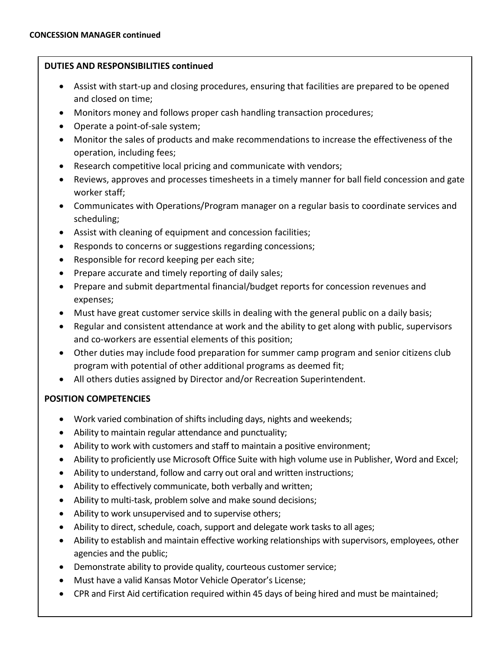## **DUTIES AND RESPONSIBILITIES continued**

- Assist with start-up and closing procedures, ensuring that facilities are prepared to be opened and closed on time;
- Monitors money and follows proper cash handling transaction procedures;
- Operate a point-of-sale system;
- Monitor the sales of products and make recommendations to increase the effectiveness of the operation, including fees;
- Research competitive local pricing and communicate with vendors;
- Reviews, approves and processes timesheets in a timely manner for ball field concession and gate worker staff;
- Communicates with Operations/Program manager on a regular basis to coordinate services and scheduling;
- Assist with cleaning of equipment and concession facilities;
- Responds to concerns or suggestions regarding concessions;
- Responsible for record keeping per each site;
- Prepare accurate and timely reporting of daily sales;
- Prepare and submit departmental financial/budget reports for concession revenues and expenses;
- Must have great customer service skills in dealing with the general public on a daily basis;
- Regular and consistent attendance at work and the ability to get along with public, supervisors and co-workers are essential elements of this position;
- Other duties may include food preparation for summer camp program and senior citizens club program with potential of other additional programs as deemed fit;
- All others duties assigned by Director and/or Recreation Superintendent.

# **POSITION COMPETENCIES**

- Work varied combination of shifts including days, nights and weekends;
- Ability to maintain regular attendance and punctuality;
- Ability to work with customers and staff to maintain a positive environment;
- Ability to proficiently use Microsoft Office Suite with high volume use in Publisher, Word and Excel;
- Ability to understand, follow and carry out oral and written instructions;
- Ability to effectively communicate, both verbally and written;
- Ability to multi-task, problem solve and make sound decisions;
- Ability to work unsupervised and to supervise others;
- Ability to direct, schedule, coach, support and delegate work tasks to all ages;
- Ability to establish and maintain effective working relationships with supervisors, employees, other agencies and the public;
- Demonstrate ability to provide quality, courteous customer service;
- Must have a valid Kansas Motor Vehicle Operator's License;
- CPR and First Aid certification required within 45 days of being hired and must be maintained;